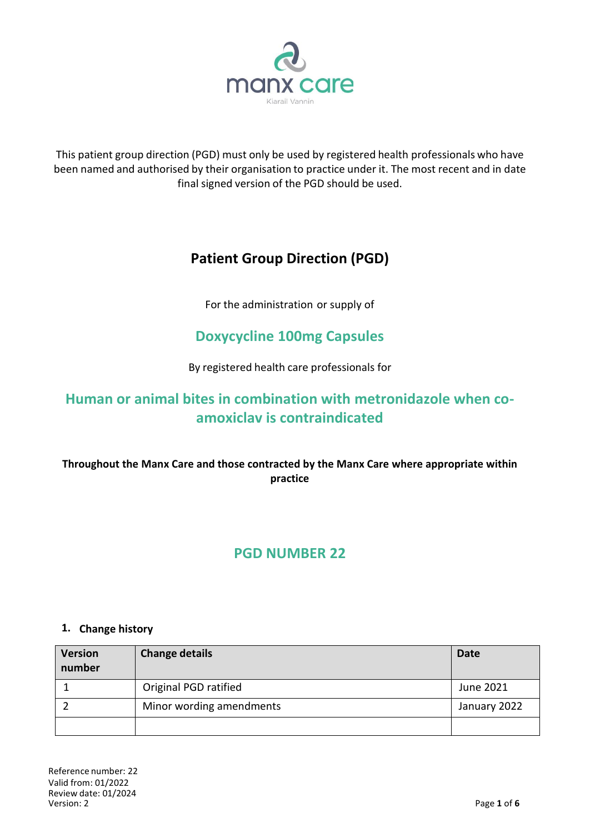

This patient group direction (PGD) must only be used by registered health professionals who have been named and authorised by their organisation to practice under it. The most recent and in date final signed version of the PGD should be used.

# **Patient Group Direction (PGD)**

For the administration or supply of

# **Doxycycline 100mg Capsules**

By registered health care professionals for

# **Human or animal bites in combination with metronidazole when coamoxiclav is contraindicated**

**Throughout the Manx Care and those contracted by the Manx Care where appropriate within practice**

# **PGD NUMBER 22**

#### **1. Change history**

| <b>Version</b><br>number | <b>Change details</b>    | <b>Date</b>  |
|--------------------------|--------------------------|--------------|
|                          | Original PGD ratified    | June 2021    |
|                          | Minor wording amendments | January 2022 |
|                          |                          |              |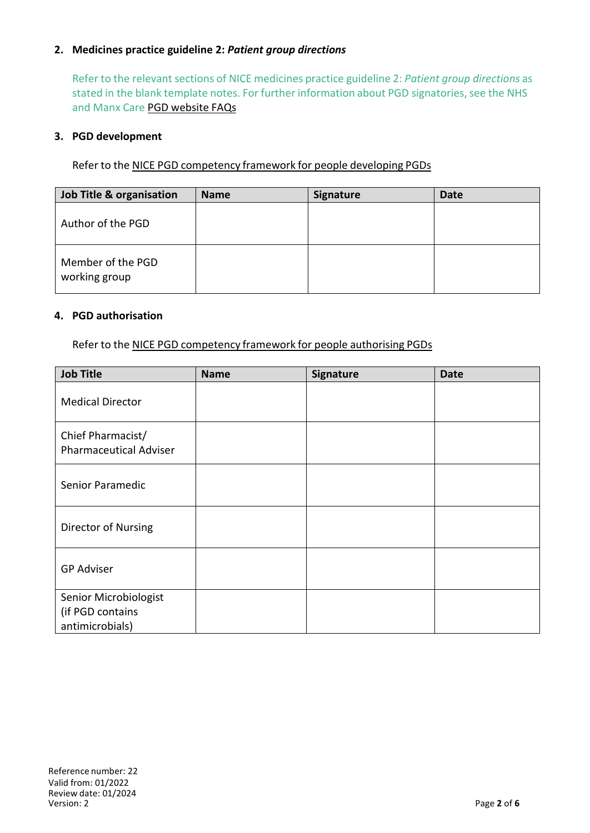### **2. Medicines practice guideline 2:** *Patient group directions*

Refer to the relevant sections of NICE medicines practice guideline 2: *Patient group directions* as stated in the blank template notes. For further information about PGD signatories, see the NHS and Manx Care PGD website FAQs

#### **3. PGD development**

Refer to the NICE PGD competency framework for people developing PGDs

| <b>Job Title &amp; organisation</b> | <b>Name</b> | <b>Signature</b> | <b>Date</b> |
|-------------------------------------|-------------|------------------|-------------|
| Author of the PGD                   |             |                  |             |
| Member of the PGD<br>working group  |             |                  |             |

#### **4. PGD authorisation**

Refer to the NICE PGD competency framework for people authorising PGDs

| <b>Job Title</b>                                             | <b>Name</b> | <b>Signature</b> | <b>Date</b> |
|--------------------------------------------------------------|-------------|------------------|-------------|
| <b>Medical Director</b>                                      |             |                  |             |
| Chief Pharmacist/<br><b>Pharmaceutical Adviser</b>           |             |                  |             |
| Senior Paramedic                                             |             |                  |             |
| Director of Nursing                                          |             |                  |             |
| <b>GP Adviser</b>                                            |             |                  |             |
| Senior Microbiologist<br>(if PGD contains<br>antimicrobials) |             |                  |             |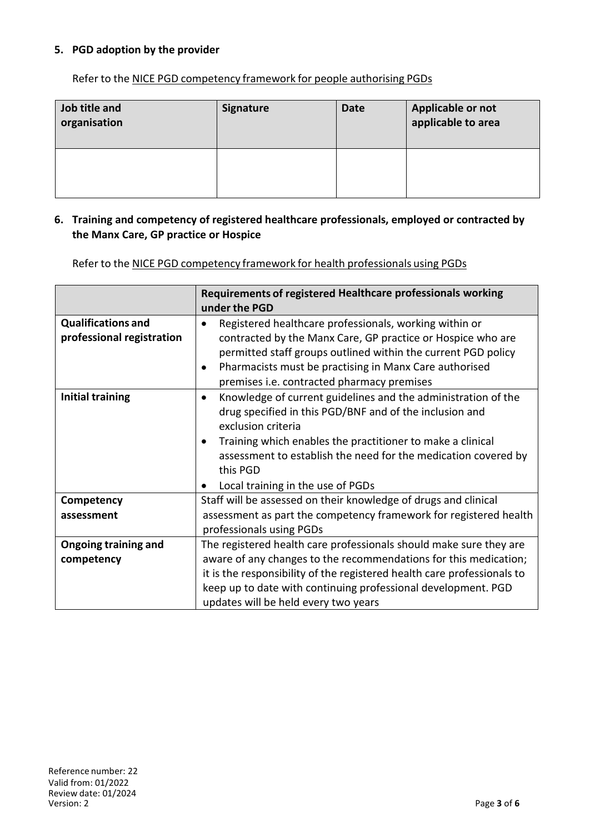### **5. PGD adoption by the provider**

Refer to the NICE PGD competency framework for people authorising PGDs

| Job title and<br>organisation | <b>Signature</b> | <b>Date</b> | Applicable or not<br>applicable to area |
|-------------------------------|------------------|-------------|-----------------------------------------|
|                               |                  |             |                                         |

### **6. Training and competency of registered healthcare professionals, employed or contracted by the Manx Care, GP practice or Hospice**

Refer to the NICE PGD competency framework for health professionals using PGDs

|                                                        | Requirements of registered Healthcare professionals working<br>under the PGD                                                                                                                                                                                                                                                                 |
|--------------------------------------------------------|----------------------------------------------------------------------------------------------------------------------------------------------------------------------------------------------------------------------------------------------------------------------------------------------------------------------------------------------|
| <b>Qualifications and</b><br>professional registration | Registered healthcare professionals, working within or<br>contracted by the Manx Care, GP practice or Hospice who are<br>permitted staff groups outlined within the current PGD policy<br>Pharmacists must be practising in Manx Care authorised<br>premises i.e. contracted pharmacy premises                                               |
| <b>Initial training</b>                                | Knowledge of current guidelines and the administration of the<br>$\bullet$<br>drug specified in this PGD/BNF and of the inclusion and<br>exclusion criteria<br>Training which enables the practitioner to make a clinical<br>assessment to establish the need for the medication covered by<br>this PGD<br>Local training in the use of PGDs |
| Competency                                             | Staff will be assessed on their knowledge of drugs and clinical                                                                                                                                                                                                                                                                              |
| assessment                                             | assessment as part the competency framework for registered health<br>professionals using PGDs                                                                                                                                                                                                                                                |
| <b>Ongoing training and</b>                            | The registered health care professionals should make sure they are                                                                                                                                                                                                                                                                           |
| competency                                             | aware of any changes to the recommendations for this medication;                                                                                                                                                                                                                                                                             |
|                                                        | it is the responsibility of the registered health care professionals to                                                                                                                                                                                                                                                                      |
|                                                        | keep up to date with continuing professional development. PGD                                                                                                                                                                                                                                                                                |
|                                                        | updates will be held every two years                                                                                                                                                                                                                                                                                                         |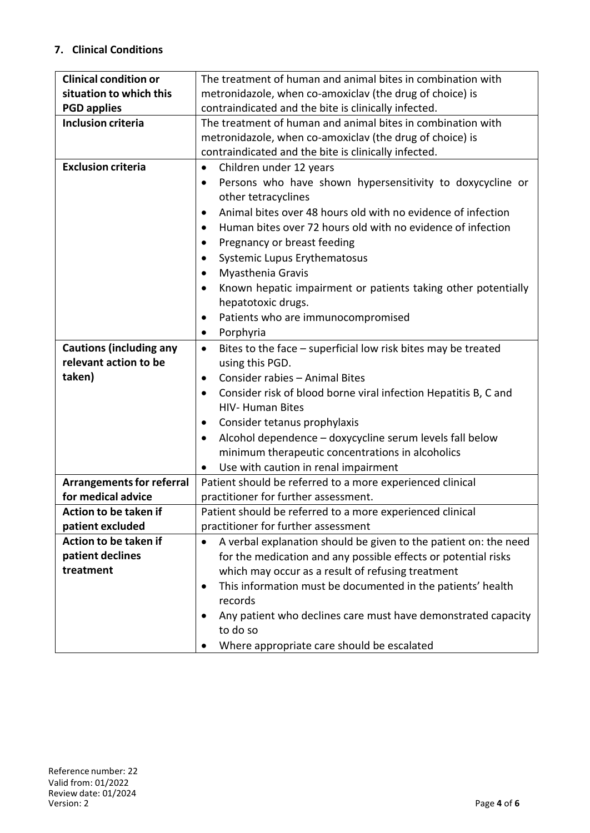## **7. Clinical Conditions**

| <b>Clinical condition or</b>     | The treatment of human and animal bites in combination with                |  |  |
|----------------------------------|----------------------------------------------------------------------------|--|--|
| situation to which this          | metronidazole, when co-amoxiclav (the drug of choice) is                   |  |  |
| <b>PGD applies</b>               | contraindicated and the bite is clinically infected.                       |  |  |
| <b>Inclusion criteria</b>        | The treatment of human and animal bites in combination with                |  |  |
|                                  | metronidazole, when co-amoxiclav (the drug of choice) is                   |  |  |
|                                  | contraindicated and the bite is clinically infected.                       |  |  |
| <b>Exclusion criteria</b>        | Children under 12 years<br>$\bullet$                                       |  |  |
|                                  | Persons who have shown hypersensitivity to doxycycline or                  |  |  |
|                                  | other tetracyclines                                                        |  |  |
|                                  | Animal bites over 48 hours old with no evidence of infection<br>٠          |  |  |
|                                  | Human bites over 72 hours old with no evidence of infection                |  |  |
|                                  | Pregnancy or breast feeding                                                |  |  |
|                                  | Systemic Lupus Erythematosus                                               |  |  |
|                                  | Myasthenia Gravis<br>٠                                                     |  |  |
|                                  | Known hepatic impairment or patients taking other potentially<br>$\bullet$ |  |  |
|                                  | hepatotoxic drugs.                                                         |  |  |
|                                  | Patients who are immunocompromised                                         |  |  |
|                                  | Porphyria<br>$\bullet$                                                     |  |  |
| <b>Cautions (including any</b>   | Bites to the face - superficial low risk bites may be treated<br>$\bullet$ |  |  |
| relevant action to be            | using this PGD.                                                            |  |  |
| taken)                           | Consider rabies - Animal Bites<br>$\bullet$                                |  |  |
|                                  | Consider risk of blood borne viral infection Hepatitis B, C and<br>٠       |  |  |
|                                  | <b>HIV- Human Bites</b>                                                    |  |  |
|                                  | Consider tetanus prophylaxis<br>$\bullet$                                  |  |  |
|                                  | Alcohol dependence - doxycycline serum levels fall below<br>٠              |  |  |
|                                  | minimum therapeutic concentrations in alcoholics                           |  |  |
|                                  | Use with caution in renal impairment                                       |  |  |
| <b>Arrangements for referral</b> | $\bullet$<br>Patient should be referred to a more experienced clinical     |  |  |
| for medical advice               | practitioner for further assessment.                                       |  |  |
| Action to be taken if            | Patient should be referred to a more experienced clinical                  |  |  |
| patient excluded                 | practitioner for further assessment                                        |  |  |
| Action to be taken if            | A verbal explanation should be given to the patient on: the need           |  |  |
| patient declines                 | for the medication and any possible effects or potential risks             |  |  |
| treatment                        | which may occur as a result of refusing treatment                          |  |  |
|                                  | This information must be documented in the patients' health<br>٠           |  |  |
|                                  | records                                                                    |  |  |
|                                  | Any patient who declines care must have demonstrated capacity              |  |  |
|                                  | to do so                                                                   |  |  |
|                                  | Where appropriate care should be escalated                                 |  |  |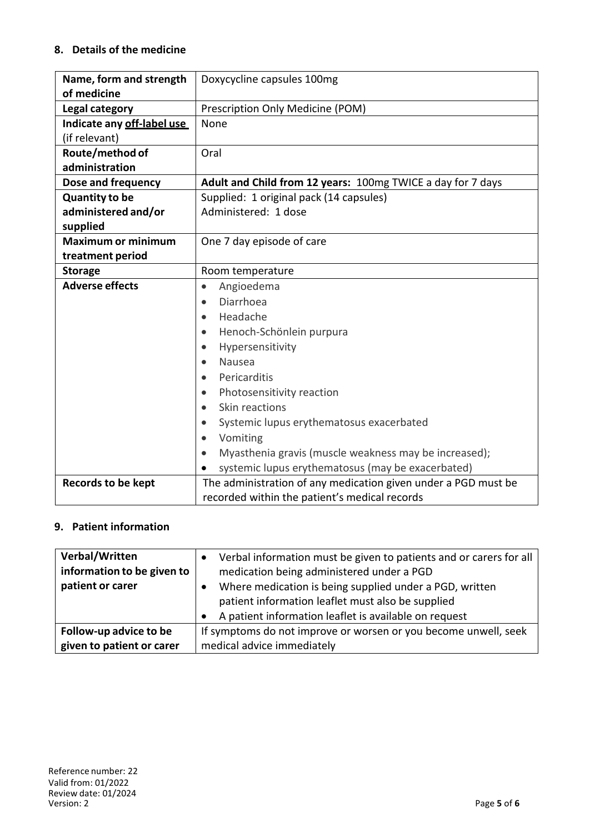## **8. Details of the medicine**

| Name, form and strength    | Doxycycline capsules 100mg                                     |
|----------------------------|----------------------------------------------------------------|
| of medicine                |                                                                |
| Legal category             | Prescription Only Medicine (POM)                               |
| Indicate any off-label use | None                                                           |
| (if relevant)              |                                                                |
| Route/method of            | Oral                                                           |
| administration             |                                                                |
| Dose and frequency         | Adult and Child from 12 years: 100mg TWICE a day for 7 days    |
| <b>Quantity to be</b>      | Supplied: 1 original pack (14 capsules)                        |
| administered and/or        | Administered: 1 dose                                           |
| supplied                   |                                                                |
| <b>Maximum or minimum</b>  | One 7 day episode of care                                      |
| treatment period           |                                                                |
| <b>Storage</b>             | Room temperature                                               |
| <b>Adverse effects</b>     | Angioedema<br>$\bullet$                                        |
|                            | Diarrhoea<br>$\bullet$                                         |
|                            | Headache<br>$\bullet$                                          |
|                            | Henoch-Schönlein purpura<br>$\bullet$                          |
|                            | Hypersensitivity<br>$\bullet$                                  |
|                            | <b>Nausea</b><br>$\bullet$                                     |
|                            | Pericarditis                                                   |
|                            | Photosensitivity reaction<br>$\bullet$                         |
|                            | Skin reactions<br>$\bullet$                                    |
|                            | Systemic lupus erythematosus exacerbated                       |
|                            | Vomiting<br>$\bullet$                                          |
|                            | Myasthenia gravis (muscle weakness may be increased);          |
|                            | systemic lupus erythematosus (may be exacerbated)<br>$\bullet$ |
| <b>Records to be kept</b>  | The administration of any medication given under a PGD must be |
|                            | recorded within the patient's medical records                  |

# **9. Patient information**

| Verbal/Written<br>information to be given to<br>patient or carer | Verbal information must be given to patients and or carers for all<br>medication being administered under a PGD<br>Where medication is being supplied under a PGD, written |
|------------------------------------------------------------------|----------------------------------------------------------------------------------------------------------------------------------------------------------------------------|
|                                                                  | patient information leaflet must also be supplied                                                                                                                          |
|                                                                  | A patient information leaflet is available on request                                                                                                                      |
| Follow-up advice to be                                           | If symptoms do not improve or worsen or you become unwell, seek                                                                                                            |
| given to patient or carer                                        | medical advice immediately                                                                                                                                                 |